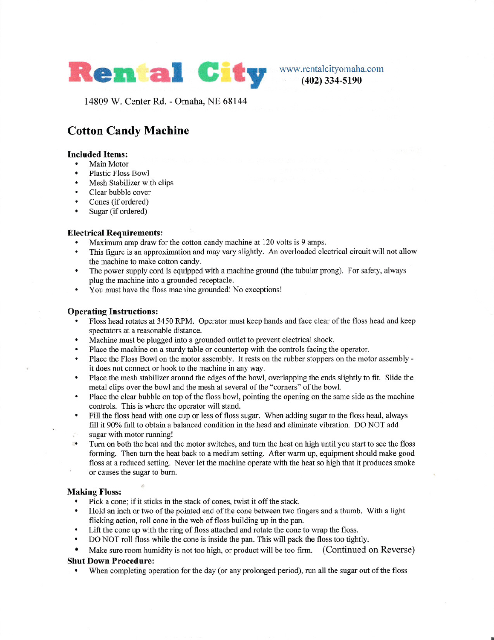

(402) 334-5190

14809 W. Center Rd. - Omaha, NE 68144

## Cotton Candy Machine

# **Included Items:**<br>• Main Motor

- Main Motor<br>Plastic Floss Bowl
- 
- Mesh Stabilizer with clips<br>• Clear bubble cover<br>• Cones (if ordered)
- Clear bubble cove:<br>• Cones (if ordered)
- Cones (if ordered)<br>• Sugar (if ordered)
- 

#### Electrical Requirements:

- . Maximum amp draw for the cotton candy machine at <sup>120</sup> volts is <sup>9</sup> amps.
- . This figure is an approximation and may vary slightly. An overloaded electrical circuit will not allow the machine to make cotton candy.
- . The power supply cord is equipped with <sup>a</sup> machine ground (the tubular prong). For safety, always plug the machine into a grounded receptacle.
- . You must have the floss machine grounded! No exceptions!

#### Operating Instructions:

- . Floss head rotates at <sup>3450</sup> RPM. Operator must keep hands and face clear of the floss head and keep spectators at a reasonable distance.
- . Machine must be plugged into <sup>a</sup> grounded outlet to prevent electrical shock.
- . Place the machine on <sup>a</sup> sturdy table or countertop with the controls facing the operator.
- . Place the Floss Bowl on the motor assembly. It rests on the rubber stoppers on the motor assembly it does not connect or hook to the machine in any way.
- . Place the mesh stabilizer around the edges of the bowl, overlapping the ends slightly to fit. Slide the metal clips over the bowl and the mesh at several of the "corners" of the bowl.
- . Place the clear bubble on top of the floss bowl, pointing the opening on the same side as the machine controls. This is where the operator will stand.
- . Fill the floss head with one cup or less of floss sugar. When adding sugar to the floss head, always fill it 90% full to obtain a balanced condition in the head and eliminate vibration. DO NOT add sugar with motor running!
- Turn on both the heat and the motor switches, and turn the heat on high until you start to see the floss forming. Then turn the heat back to a medium setting. After warm up, equipment should make good floss at a reduced setting. Never let the machine operate with the heat so high that it produces smoke or causes the sugar to burn.

#### Making Floss:

. Pick <sup>a</sup> cone; if it sticks in the stack of cones, twist it off the stack.

r-

- . Hold an inch or two of the pointed end of the cone between two fmgers and a thumb. With a light flicking action, roll cone in the web of floss building up in the pan.
- Lift the cone up with the ring of floss attached and rotate the cone to wrap the floss.<br>• DO NOT roll floss while the cone is inside the pan. This will pack the floss too tight
- DO NOT roll floss while the cone is inside the pan. This will pack the floss too tightly.<br>• Make sure room humidity is not too high or product will be too firm (Continued)
- . Make sure room humidity is not too high, or product will be too firm. (Continued on Reverse)

### Shut Down Procedure:

. When completing operation for the day (or any prolonged period), run all the sugar out of the floss

.